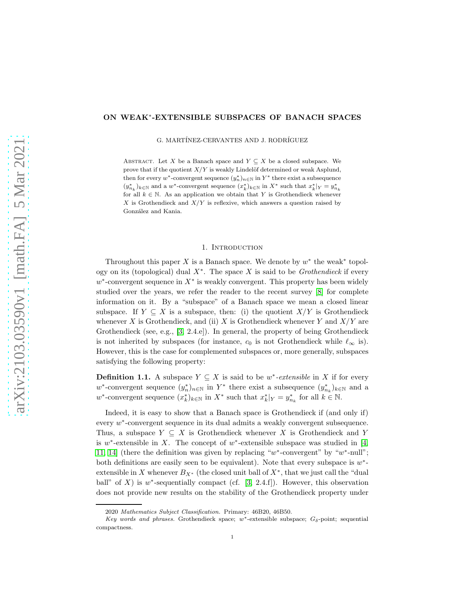## ON WEAK<sup>∗</sup> -EXTENSIBLE SUBSPACES OF BANACH SPACES

G. MARTÍNEZ-CERVANTES AND J. RODRÍGUEZ

ABSTRACT. Let X be a Banach space and  $Y \subseteq X$  be a closed subspace. We prove that if the quotient  $X/Y$  is weakly Lindelöf determined or weak Asplund, then for every w<sup>\*</sup>-convergent sequence  $(y_n^*)_{n\in\mathbb{N}}$  in  $Y^*$  there exist a subsequence  $(y_{n_k}^*)_k \in \mathbb{N}$  and a w<sup>\*</sup>-convergent sequence  $(x_k^*)_k \in \mathbb{N}$  in  $X^*$  such that  $x_k^*|_Y = y_{n_k}^*$ for all  $k \in \mathbb{N}$ . As an application we obtain that Y is Grothendieck whenever X is Grothendieck and  $X/Y$  is reflexive, which answers a question raised by González and Kania.

## 1. Introduction

Throughout this paper X is a Banach space. We denote by  $w^*$  the weak<sup>\*</sup> topology on its (topological) dual X<sup>∗</sup> . The space X is said to be *Grothendieck* if every  $w^*$ -convergent sequence in  $X^*$  is weakly convergent. This property has been widely studied over the years, we refer the reader to the recent survey [\[8\]](#page-4-0) for complete information on it. By a "subspace" of a Banach space we mean a closed linear subspace. If  $Y \subseteq X$  is a subspace, then: (i) the quotient  $X/Y$  is Grothendieck whenever X is Grothendieck, and (ii) X is Grothendieck whenever Y and  $X/Y$  are Grothendieck (see, e.g., [\[3,](#page-4-1) 2.4.e]). In general, the property of being Grothendieck is not inherited by subspaces (for instance,  $c_0$  is not Grothendieck while  $\ell_{\infty}$  is). However, this is the case for complemented subspaces or, more generally, subspaces satisfying the following property:

<span id="page-0-0"></span>**Definition 1.1.** A subspace  $Y \subseteq X$  is said to be  $w^*$ -extensible in X if for every w<sup>\*</sup>-convergent sequence  $(y_n^*)_{n\in\mathbb{N}}$  in  $Y^*$  there exist a subsequence  $(y_{n_k}^*)_{k\in\mathbb{N}}$  and a w<sup>\*</sup>-convergent sequence  $(x_k^*)_{k \in \mathbb{N}}$  in  $X^*$  such that  $x_k^*|_Y = y_{n_k}^*$  for all  $k \in \mathbb{N}$ .

Indeed, it is easy to show that a Banach space is Grothendieck if (and only if) every  $w^*$ -convergent sequence in its dual admits a weakly convergent subsequence. Thus, a subspace  $Y \subseteq X$  is Grothendieck whenever X is Grothendieck and Y is  $w^*$ -extensible in X. The concept of  $w^*$ -extensible subspace was studied in [\[4,](#page-4-2) [11,](#page-4-3) [14\]](#page-4-4) (there the definition was given by replacing " $w^*$ -convergent" by " $w^*$ -null"; both definitions are easily seen to be equivalent). Note that every subspace is  $w^*$ extensible in X whenever  $B_{X^*}$  (the closed unit ball of  $X^*$ , that we just call the "dual ball" of X) is  $w^*$ -sequentially compact (cf. [\[3,](#page-4-1) 2.4.f]). However, this observation does not provide new results on the stability of the Grothendieck property under

<sup>2020</sup> Mathematics Subject Classification. Primary: 46B20, 46B50.

Key words and phrases. Grothendieck space; w<sup>\*</sup>-extensible subspace;  $G_{\delta}$ -point; sequential compactness.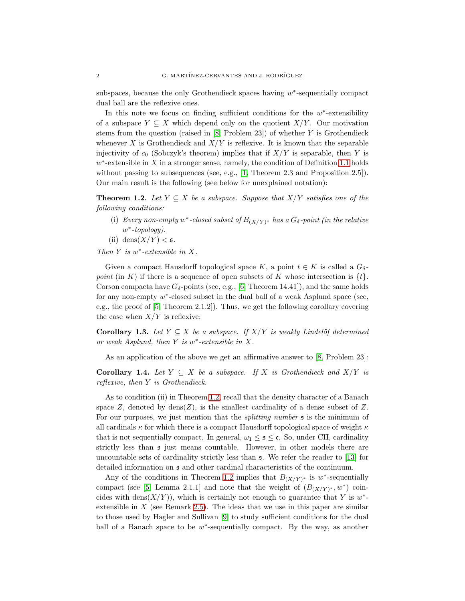subspaces, because the only Grothendieck spaces having  $w^*$ -sequentially compact dual ball are the reflexive ones.

In this note we focus on finding sufficient conditions for the  $w^*$ -extensibility of a subspace  $Y \subseteq X$  which depend only on the quotient  $X/Y$ . Our motivation stems from the question (raised in  $[8,$  Problem 23]) of whether  $Y$  is Grothendieck whenever X is Grothendieck and  $X/Y$  is reflexive. It is known that the separable injectivity of  $c_0$  (Sobczyk's theorem) implies that if  $X/Y$  is separable, then Y is  $w^*$ -extensible in X in a stronger sense, namely, the condition of Definition [1.1](#page-0-0) holds without passing to subsequences (see, e.g., [\[1,](#page-4-5) Theorem 2.3 and Proposition 2.5]). Our main result is the following (see below for unexplained notation):

<span id="page-1-0"></span>**Theorem 1.2.** *Let*  $Y \subseteq X$  *be a subspace. Suppose that*  $X/Y$  *satisfies one of the following conditions:*

- (i) *Every non-empty*  $w^*$ -closed subset of  $B_{(X/Y)^*}$  has a  $G_{\delta}$ -point (in the relative w ∗ *-topology).*
- (ii) dens $(X/Y) < \mathfrak{s}$ .

*Then* Y *is* w ∗ *-extensible in* X*.*

Given a compact Hausdorff topological space K, a point  $t \in K$  is called a  $G_{\delta}$ *point* (in K) if there is a sequence of open subsets of K whose intersection is  $\{t\}$ . Corson compacta have  $G_{\delta}$ -points (see, e.g., [\[6,](#page-4-6) Theorem 14.41]), and the same holds for any non-empty  $w^*$ -closed subset in the dual ball of a weak Asplund space (see, e.g., the proof of [\[5,](#page-4-7) Theorem 2.1.2]). Thus, we get the following corollary covering the case when  $X/Y$  is reflexive:

**Corollary 1.3.** *Let*  $Y \subseteq X$  *be a subspace. If*  $X/Y$  *is weakly Lindelöf determined or weak Asplund, then* Y *is* w ∗ *-extensible in* X*.*

As an application of the above we get an affirmative answer to [\[8,](#page-4-0) Problem 23]:

<span id="page-1-1"></span>Corollary 1.4. Let  $Y \subseteq X$  be a subspace. If X is Grothendieck and  $X/Y$  is *reflexive, then* Y *is Grothendieck.*

As to condition (ii) in Theorem [1.2,](#page-1-0) recall that the density character of a Banach space  $Z$ , denoted by dens $(Z)$ , is the smallest cardinality of a dense subset of  $Z$ . For our purposes, we just mention that the *splitting number* s is the minimum of all cardinals  $\kappa$  for which there is a compact Hausdorff topological space of weight  $\kappa$ that is not sequentially compact. In general,  $\omega_1 \leq \mathfrak{s} \leq \mathfrak{c}$ . So, under CH, cardinality strictly less than s just means countable. However, in other models there are uncountable sets of cardinality strictly less than s. We refer the reader to [\[13\]](#page-4-8) for detailed information on s and other cardinal characteristics of the continuum.

Any of the conditions in Theorem [1.2](#page-1-0) implies that  $B_{(X/Y)^*}$  is w<sup>\*</sup>-sequentially compact (see [\[5,](#page-4-7) Lemma 2.1.1] and note that the weight of  $(B_{(X/Y)^*}, w^*)$  coincides with dens $(X/Y)$ , which is certainly not enough to guarantee that Y is  $w^*$ extensible in  $X$  (see Remark [2.5\)](#page-3-0). The ideas that we use in this paper are similar to those used by Hagler and Sullivan [\[9\]](#page-4-9) to study sufficient conditions for the dual ball of a Banach space to be  $w^*$ -sequentially compact. By the way, as another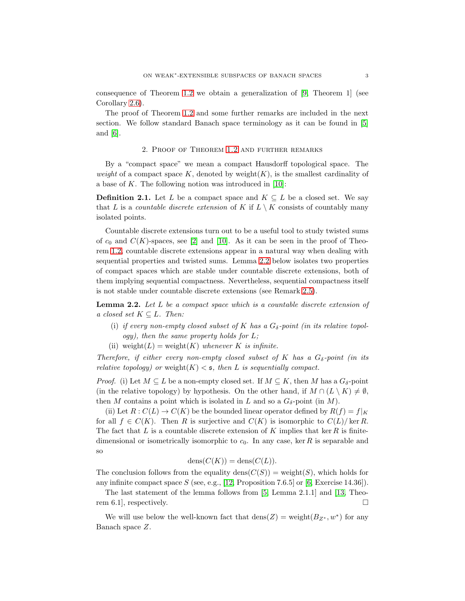consequence of Theorem [1.2](#page-1-0) we obtain a generalization of [\[9,](#page-4-9) Theorem 1] (see Corollary [2.6\)](#page-4-10).

The proof of Theorem [1.2](#page-1-0) and some further remarks are included in the next section. We follow standard Banach space terminology as it can be found in [\[5\]](#page-4-7) and [\[6\]](#page-4-6).

## 2. Proof of Theorem [1.2](#page-1-0) and further remarks

By a "compact space" we mean a compact Hausdorff topological space. The *weight* of a compact space K, denoted by weight $(K)$ , is the smallest cardinality of a base of  $K$ . The following notion was introduced in [\[10\]](#page-4-11):

**Definition 2.1.** Let L be a compact space and  $K \subseteq L$  be a closed set. We say that L is a *countable discrete extension* of K if  $L \setminus K$  consists of countably many isolated points.

Countable discrete extensions turn out to be a useful tool to study twisted sums of  $c_0$  and  $C(K)$ -spaces, see [\[2\]](#page-4-12) and [\[10\]](#page-4-11). As it can be seen in the proof of Theorem [1.2,](#page-1-0) countable discrete extensions appear in a natural way when dealing with sequential properties and twisted sums. Lemma [2.2](#page-2-0) below isolates two properties of compact spaces which are stable under countable discrete extensions, both of them implying sequential compactness. Nevertheless, sequential compactness itself is not stable under countable discrete extensions (see Remark [2.5\)](#page-3-0).

<span id="page-2-0"></span>Lemma 2.2. *Let* L *be a compact space which is a countable discrete extension of a closed set*  $K \subset L$ *. Then:* 

- (i) if every non-empty closed subset of K has a  $G_{\delta}$ -point (in its relative topol*ogy), then the same property holds for* L*;*
- (ii) weight $(L)$  = weight $(K)$  *whenever* K *is infinite.*

*Therefore, if either every non-empty closed subset of* K *has a*  $G_{\delta}$ -point (in its *relative topology)* or weight $(K) <$  **s**, then L is sequentially compact.

*Proof.* (i) Let  $M \subseteq L$  be a non-empty closed set. If  $M \subseteq K$ , then M has a  $G_{\delta}$ -point (in the relative topology) by hypothesis. On the other hand, if  $M \cap (L \setminus K) \neq \emptyset$ , then M contains a point which is isolated in L and so a  $G_{\delta}$ -point (in M).

(ii) Let  $R: C(L) \to C(K)$  be the bounded linear operator defined by  $R(f) = f|_K$ for all  $f \in C(K)$ . Then R is surjective and  $C(K)$  is isomorphic to  $C(L)/\text{ker } R$ . The fact that L is a countable discrete extension of K implies that ker R is finitedimensional or isometrically isomorphic to  $c_0$ . In any case, ker R is separable and so

$$
dens(C(K)) = dens(C(L)).
$$

The conclusion follows from the equality dens $(C(S))$  = weight(S), which holds for any infinite compact space S (see, e.g., [\[12,](#page-4-13) Proposition 7.6.5] or [\[6,](#page-4-6) Exercise 14.36]).

The last statement of the lemma follows from [\[5,](#page-4-7) Lemma 2.1.1] and [\[13,](#page-4-8) Theorem 6.1, respectively.  $\square$ 

We will use below the well-known fact that  $dens(Z) = weight(B_{Z^*}, w^*)$  for any Banach space Z.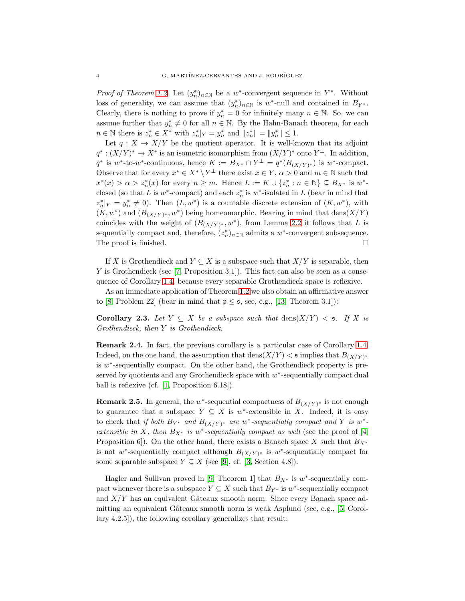*Proof of Theorem [1.2.](#page-1-0)* Let  $(y_n^*)_{n\in\mathbb{N}}$  be a w<sup>\*</sup>-convergent sequence in Y<sup>\*</sup>. Without loss of generality, we can assume that  $(y_n^*)_{n\in\mathbb{N}}$  is w<sup>\*</sup>-null and contained in  $B_{Y^*}$ . Clearly, there is nothing to prove if  $y_n^* = 0$  for infinitely many  $n \in \mathbb{N}$ . So, we can assume further that  $y_n^* \neq 0$  for all  $n \in \mathbb{N}$ . By the Hahn-Banach theorem, for each  $n \in \mathbb{N}$  there is  $z_n^* \in X^*$  with  $z_n^*|_Y = y_n^*$  and  $||z_n^*|| = ||y_n^*|| \leq 1$ .

Let  $q: X \to X/Y$  be the quotient operator. It is well-known that its adjoint  $q^*: (X/Y)^* \to X^*$  is an isometric isomorphism from  $(X/Y)^*$  onto  $Y^{\perp}$ . In addition,  $q^*$  is w<sup>\*</sup>-to-w<sup>\*</sup>-continuous, hence  $K := B_{X^*} \cap Y^\perp = q^*(B_{(X/Y)^*})$  is w<sup>\*</sup>-compact. Observe that for every  $x^* \in X^* \setminus Y^{\perp}$  there exist  $x \in Y$ ,  $\alpha > 0$  and  $m \in \mathbb{N}$  such that  $x^*(x) > \alpha > z_n^*(x)$  for every  $n \geq m$ . Hence  $L := K \cup \{z_n^* : n \in \mathbb{N}\} \subseteq B_{X^*}$  is  $w^*$ closed (so that L is  $w^*$ -compact) and each  $z_n^*$  is  $w^*$ -isolated in L (bear in mind that  $z_n^*|_Y = y_n^* \neq 0$ . Then  $(L, w^*)$  is a countable discrete extension of  $(K, w^*)$ , with  $(K, w^*)$  and  $(B_{(X/Y)^*}, w^*)$  being homeomorphic. Bearing in mind that dens $(X/Y)$ coincides with the weight of  $(B_{(X/Y)^*}, w^*)$ , from Lemma [2.2](#page-2-0) it follows that L is sequentially compact and, therefore,  $(z_n^*)_{n\in\mathbb{N}}$  admits a w<sup>\*</sup>-convergent subsequence. The proof is finished.  $\Box$ 

If X is Grothendieck and  $Y \subseteq X$  is a subspace such that  $X/Y$  is separable, then  $Y$  is Grothendieck (see [\[7,](#page-4-14) Proposition 3.1]). This fact can also be seen as a consequence of Corollary [1.4,](#page-1-1) because every separable Grothendieck space is reflexive.

As an immediate application of Theorem [1.2](#page-1-0) we also obtain an affirmative answer to [\[8,](#page-4-0) Problem 22] (bear in mind that  $p \leq s$ , see, e.g., [\[13,](#page-4-8) Theorem 3.1]):

**Corollary 2.3.** Let  $Y \subseteq X$  be a subspace such that  $\text{dens}(X/Y) < \varepsilon$ . If X is *Grothendieck, then* Y *is Grothendieck.*

Remark 2.4. In fact, the previous corollary is a particular case of Corollary [1.4.](#page-1-1) Indeed, on the one hand, the assumption that  $\text{dens}(X/Y) < \mathfrak{s}$  implies that  $B_{(X/Y)^*}$ is  $w^*$ -sequentially compact. On the other hand, the Grothendieck property is preserved by quotients and any Grothendieck space with  $w^*$ -sequentially compact dual ball is reflexive (cf. [\[1,](#page-4-5) Proposition 6.18]).

<span id="page-3-0"></span>**Remark 2.5.** In general, the w<sup>\*</sup>-sequential compactness of  $B_{(X/Y)^*}$  is not enough to guarantee that a subspace  $Y \subseteq X$  is w<sup>\*</sup>-extensible in X. Indeed, it is easy to check that *if both*  $B_{Y^*}$  and  $B_{(X/Y)^*}$  are  $w^*$ -sequentially compact and Y *is*  $w^*$ *extensible in* X, then  $B_{X^*}$  *is* w<sup>\*</sup>-sequentially compact as well (see the proof of [\[4,](#page-4-2) Proposition 6]). On the other hand, there exists a Banach space X such that  $B_{X^*}$ is not w\*-sequentially compact although  $B_{(X/Y)^*}$  is w\*-sequentially compact for some separable subspace  $Y \subseteq X$  (see [\[9\]](#page-4-9), cf. [\[3,](#page-4-1) Section 4.8]).

Hagler and Sullivan proved in [\[9,](#page-4-9) Theorem 1] that  $B_{X^*}$  is w<sup>\*</sup>-sequentially compact whenever there is a subspace  $Y \subseteq X$  such that  $B_{Y^*}$  is  $w^*$ -sequentially compact and  $X/Y$  has an equivalent Gâteaux smooth norm. Since every Banach space admitting an equivalent Gâteaux smooth norm is weak Asplund (see, e.g.,  $[5, Corol$ lary 4.2.5]), the following corollary generalizes that result: